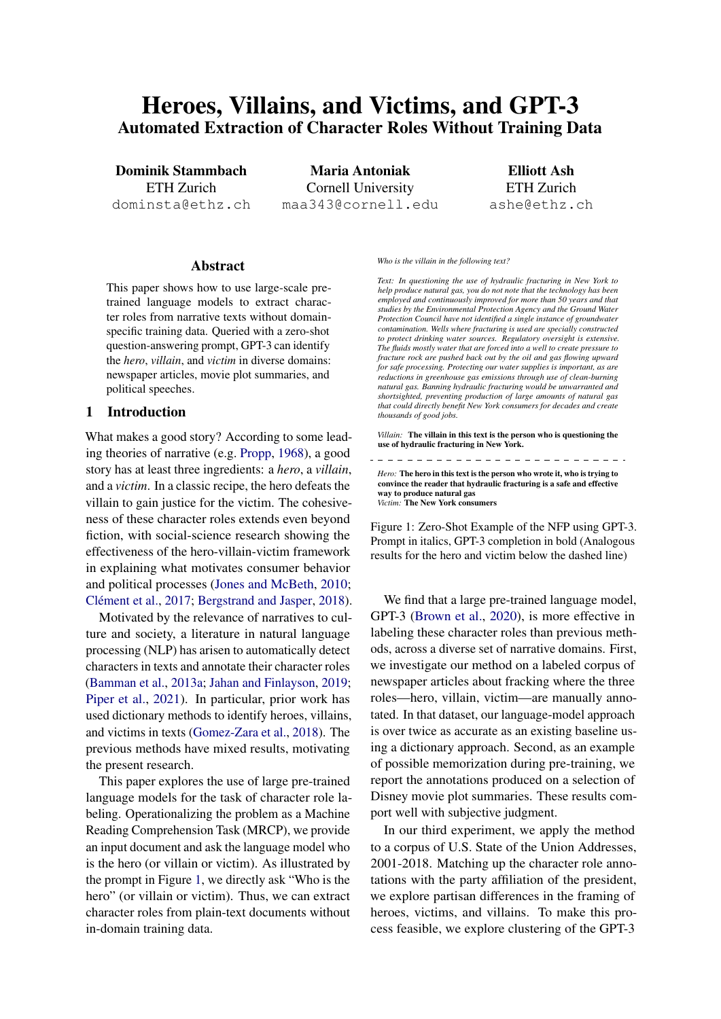# Heroes, Villains, and Victims, and GPT-3 Automated Extraction of Character Roles Without Training Data

Dominik Stammbach ETH Zurich dominsta@ethz.ch

Maria Antoniak Cornell University maa343@cornell.edu

Elliott Ash ETH Zurich ashe@ethz.ch

#### Abstract

This paper shows how to use large-scale pretrained language models to extract character roles from narrative texts without domainspecific training data. Queried with a zero-shot question-answering prompt, GPT-3 can identify the *hero*, *villain*, and *victim* in diverse domains: newspaper articles, movie plot summaries, and political speeches.

## 1 Introduction

What makes a good story? According to some leading theories of narrative (e.g. [Propp,](#page-7-0) [1968\)](#page-7-0), a good story has at least three ingredients: a *hero*, a *villain*, and a *victim*. In a classic recipe, the hero defeats the villain to gain justice for the victim. The cohesiveness of these character roles extends even beyond fiction, with social-science research showing the effectiveness of the hero-villain-victim framework in explaining what motivates consumer behavior and political processes [\(Jones and McBeth,](#page-6-0) [2010;](#page-6-0) [Clément et al.,](#page-6-1) [2017;](#page-6-1) [Bergstrand and Jasper,](#page-5-0) [2018\)](#page-5-0).

Motivated by the relevance of narratives to culture and society, a literature in natural language processing (NLP) has arisen to automatically detect characters in texts and annotate their character roles [\(Bamman et al.,](#page-5-1) [2013a;](#page-5-1) [Jahan and Finlayson,](#page-6-2) [2019;](#page-6-2) [Piper et al.,](#page-7-1) [2021\)](#page-7-1). In particular, prior work has used dictionary methods to identify heroes, villains, and victims in texts [\(Gomez-Zara et al.,](#page-6-3) [2018\)](#page-6-3). The previous methods have mixed results, motivating the present research.

This paper explores the use of large pre-trained language models for the task of character role labeling. Operationalizing the problem as a Machine Reading Comprehension Task (MRCP), we provide an input document and ask the language model who is the hero (or villain or victim). As illustrated by the prompt in Figure [1,](#page-0-0) we directly ask "Who is the hero" (or villain or victim). Thus, we can extract character roles from plain-text documents without in-domain training data.

#### <span id="page-0-0"></span>*Who is the villain in the following text?*

*Text: In questioning the use of hydraulic fracturing in New York to help produce natural gas, you do not note that the technology has been employed and continuously improved for more than 50 years and that studies by the Environmental Protection Agency and the Ground Water Protection Council have not identified a single instance of groundwater contamination. Wells where fracturing is used are specially constructed to protect drinking water sources. Regulatory oversight is extensive. The fluids mostly water that are forced into a well to create pressure to fracture rock are pushed back out by the oil and gas flowing upward for safe processing. Protecting our water supplies is important, as are reductions in greenhouse gas emissions through use of clean-burning natural gas. Banning hydraulic fracturing would be unwarranted and shortsighted, preventing production of large amounts of natural gas that could directly benefit New York consumers for decades and create thousands of good jobs.*

*Villain:* The villain in this text is the person who is questioning the use of hydraulic fracturing in New York. 

*Hero:* The hero in this text is the person who wrote it, who is trying to convince the reader that hydraulic fracturing is a safe and effective way to produce natural gas *Victim:* The New York consumers

Figure 1: Zero-Shot Example of the NFP using GPT-3. Prompt in italics, GPT-3 completion in bold (Analogous results for the hero and victim below the dashed line)

We find that a large pre-trained language model, GPT-3 [\(Brown et al.,](#page-6-4) [2020\)](#page-6-4), is more effective in labeling these character roles than previous methods, across a diverse set of narrative domains. First, we investigate our method on a labeled corpus of newspaper articles about fracking where the three roles—hero, villain, victim—are manually annotated. In that dataset, our language-model approach is over twice as accurate as an existing baseline using a dictionary approach. Second, as an example of possible memorization during pre-training, we report the annotations produced on a selection of Disney movie plot summaries. These results comport well with subjective judgment.

In our third experiment, we apply the method to a corpus of U.S. State of the Union Addresses, 2001-2018. Matching up the character role annotations with the party affiliation of the president, we explore partisan differences in the framing of heroes, victims, and villains. To make this process feasible, we explore clustering of the GPT-3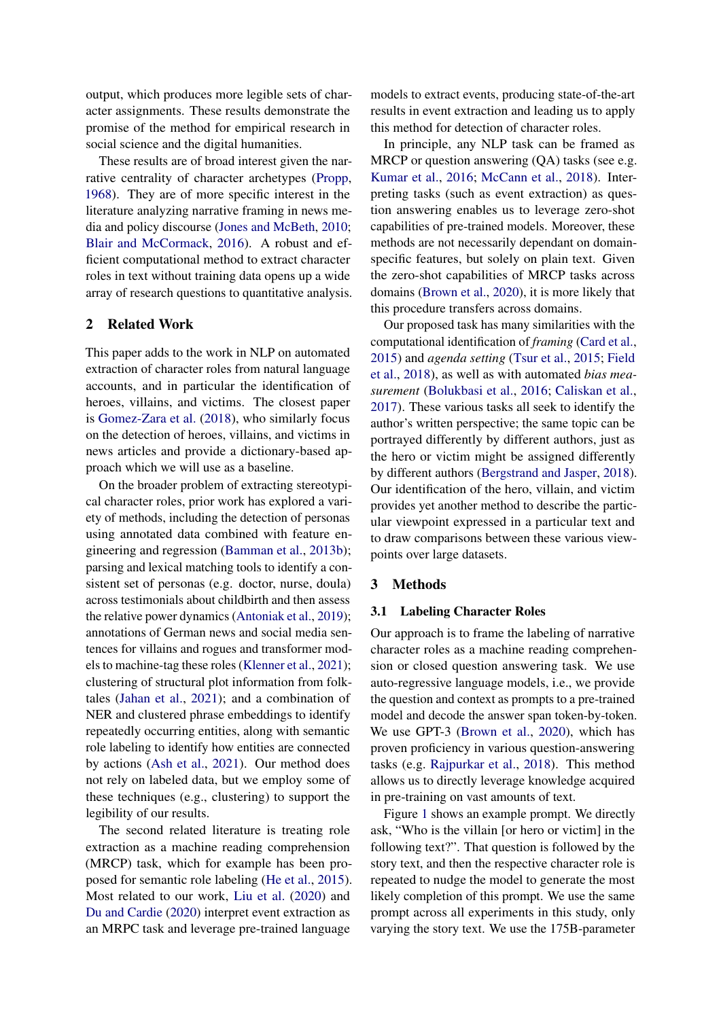output, which produces more legible sets of character assignments. These results demonstrate the promise of the method for empirical research in social science and the digital humanities.

These results are of broad interest given the narrative centrality of character archetypes [\(Propp,](#page-7-0) [1968\)](#page-7-0). They are of more specific interest in the literature analyzing narrative framing in news media and policy discourse [\(Jones and McBeth,](#page-6-0) [2010;](#page-6-0) [Blair and McCormack,](#page-5-2) [2016\)](#page-5-2). A robust and efficient computational method to extract character roles in text without training data opens up a wide array of research questions to quantitative analysis.

# 2 Related Work

This paper adds to the work in NLP on automated extraction of character roles from natural language accounts, and in particular the identification of heroes, villains, and victims. The closest paper is [Gomez-Zara et al.](#page-6-3) [\(2018\)](#page-6-3), who similarly focus on the detection of heroes, villains, and victims in news articles and provide a dictionary-based approach which we will use as a baseline.

On the broader problem of extracting stereotypical character roles, prior work has explored a variety of methods, including the detection of personas using annotated data combined with feature engineering and regression [\(Bamman et al.,](#page-5-3) [2013b\)](#page-5-3); parsing and lexical matching tools to identify a consistent set of personas (e.g. doctor, nurse, doula) across testimonials about childbirth and then assess the relative power dynamics [\(Antoniak et al.,](#page-5-4) [2019\)](#page-5-4); annotations of German news and social media sentences for villains and rogues and transformer models to machine-tag these roles [\(Klenner et al.,](#page-6-5) [2021\)](#page-6-5); clustering of structural plot information from folktales [\(Jahan et al.,](#page-6-6) [2021\)](#page-6-6); and a combination of NER and clustered phrase embeddings to identify repeatedly occurring entities, along with semantic role labeling to identify how entities are connected by actions [\(Ash et al.,](#page-5-5) [2021\)](#page-5-5). Our method does not rely on labeled data, but we employ some of these techniques (e.g., clustering) to support the legibility of our results.

The second related literature is treating role extraction as a machine reading comprehension (MRCP) task, which for example has been proposed for semantic role labeling [\(He et al.,](#page-6-7) [2015\)](#page-6-7). Most related to our work, [Liu et al.](#page-7-2) [\(2020\)](#page-7-2) and [Du and Cardie](#page-6-8) [\(2020\)](#page-6-8) interpret event extraction as an MRPC task and leverage pre-trained language

models to extract events, producing state-of-the-art results in event extraction and leading us to apply this method for detection of character roles.

In principle, any NLP task can be framed as MRCP or question answering (QA) tasks (see e.g. [Kumar et al.,](#page-7-3) [2016;](#page-7-3) [McCann et al.,](#page-7-4) [2018\)](#page-7-4). Interpreting tasks (such as event extraction) as question answering enables us to leverage zero-shot capabilities of pre-trained models. Moreover, these methods are not necessarily dependant on domainspecific features, but solely on plain text. Given the zero-shot capabilities of MRCP tasks across domains [\(Brown et al.,](#page-6-4) [2020\)](#page-6-4), it is more likely that this procedure transfers across domains.

Our proposed task has many similarities with the computational identification of *framing* [\(Card et al.,](#page-6-9) [2015\)](#page-6-9) and *agenda setting* [\(Tsur et al.,](#page-7-5) [2015;](#page-7-5) [Field](#page-6-10) [et al.,](#page-6-10) [2018\)](#page-6-10), as well as with automated *bias measurement* [\(Bolukbasi et al.,](#page-6-11) [2016;](#page-6-11) [Caliskan et al.,](#page-6-12) [2017\)](#page-6-12). These various tasks all seek to identify the author's written perspective; the same topic can be portrayed differently by different authors, just as the hero or victim might be assigned differently by different authors [\(Bergstrand and Jasper,](#page-5-0) [2018\)](#page-5-0). Our identification of the hero, villain, and victim provides yet another method to describe the particular viewpoint expressed in a particular text and to draw comparisons between these various viewpoints over large datasets.

#### 3 Methods

#### 3.1 Labeling Character Roles

Our approach is to frame the labeling of narrative character roles as a machine reading comprehension or closed question answering task. We use auto-regressive language models, i.e., we provide the question and context as prompts to a pre-trained model and decode the answer span token-by-token. We use GPT-3 [\(Brown et al.,](#page-6-4) [2020\)](#page-6-4), which has proven proficiency in various question-answering tasks (e.g. [Rajpurkar et al.,](#page-7-6) [2018\)](#page-7-6). This method allows us to directly leverage knowledge acquired in pre-training on vast amounts of text.

Figure [1](#page-0-0) shows an example prompt. We directly ask, "Who is the villain [or hero or victim] in the following text?". That question is followed by the story text, and then the respective character role is repeated to nudge the model to generate the most likely completion of this prompt. We use the same prompt across all experiments in this study, only varying the story text. We use the 175B-parameter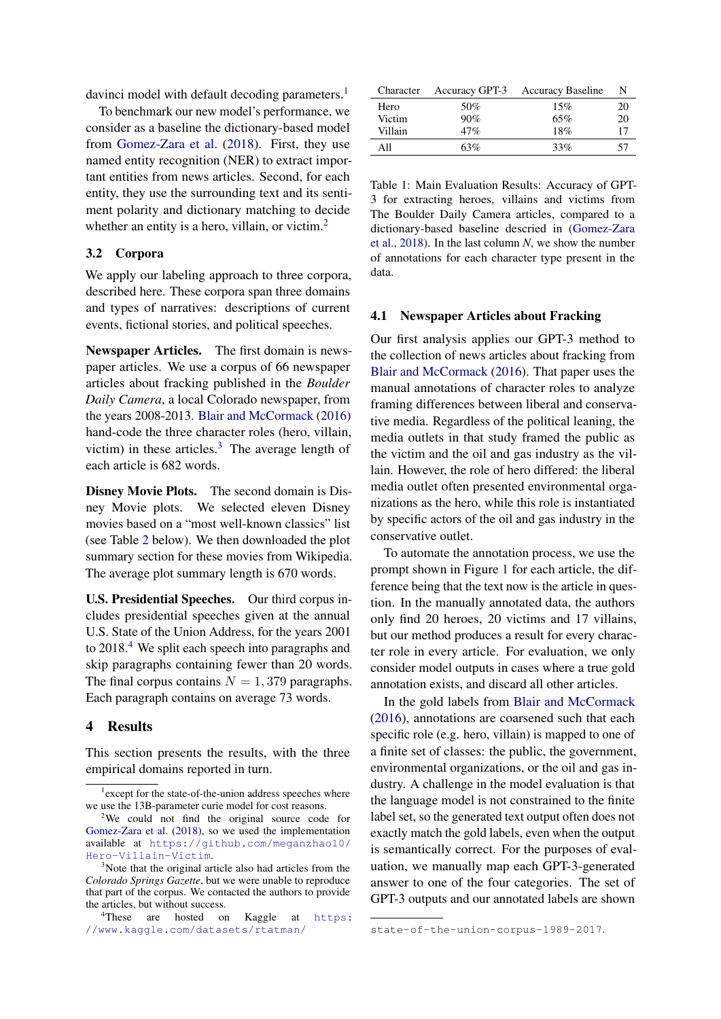davinci model with default decoding parameters.<sup>[1](#page-2-0)</sup>

To benchmark our new model's performance, we consider as a baseline the dictionary-based model from [Gomez-Zara et al.](#page-6-3) [\(2018\)](#page-6-3). First, they use named entity recognition (NER) to extract important entities from news articles. Second, for each entity, they use the surrounding text and its sentiment polarity and dictionary matching to decide whether an entity is a hero, villain, or victim.<sup>[2](#page-2-1)</sup>

#### 3.2 Corpora

We apply our labeling approach to three corpora, described here. These corpora span three domains and types of narratives: descriptions of current events, fictional stories, and political speeches.

Newspaper Articles. The first domain is newspaper articles. We use a corpus of 66 newspaper articles about fracking published in the *Boulder Daily Camera*, a local Colorado newspaper, from the years 2008-2013. [Blair and McCormack](#page-5-2) [\(2016\)](#page-5-2) hand-code the three character roles (hero, villain, victim) in these articles. $3$  The average length of each article is 682 words.

Disney Movie Plots. The second domain is Disney Movie plots. We selected eleven Disney movies based on a "most well-known classics" list (see Table [2](#page-4-0) below). We then downloaded the plot summary section for these movies from Wikipedia. The average plot summary length is 670 words.

U.S. Presidential Speeches. Our third corpus includes presidential speeches given at the annual U.S. State of the Union Address, for the years 2001 to 2018.<sup>[4](#page-2-3)</sup> We split each speech into paragraphs and skip paragraphs containing fewer than 20 words. The final corpus contains  $N = 1,379$  paragraphs. Each paragraph contains on average 73 words.

#### 4 Results

This section presents the results, with the three empirical domains reported in turn.

<span id="page-2-4"></span>

| Character | Accuracy GPT-3 | <b>Accuracy Baseline</b> |    |
|-----------|----------------|--------------------------|----|
| Hero      | 50%            | 15%                      | 20 |
| Victim    | 90%            | 65%                      | 20 |
| Villain   | 47%            | 18%                      |    |
| A 11      | 63%            | 33%                      |    |

Table 1: Main Evaluation Results: Accuracy of GPT-3 for extracting heroes, villains and victims from The Boulder Daily Camera articles, compared to a dictionary-based baseline descried in [\(Gomez-Zara](#page-6-3) [et al.,](#page-6-3) [2018\)](#page-6-3). In the last column *N*, we show the number of annotations for each character type present in the data.

#### [4.1 Newspaper Articles about Fracking](https://www.kaggle.com/datasets/rtatman/state-of-the-union-corpus-1989-2017)

[Our first analysis applies our GPT-3 method to](https://www.kaggle.com/datasets/rtatman/state-of-the-union-corpus-1989-2017) [the collection of news articles about fracking from](https://www.kaggle.com/datasets/rtatman/state-of-the-union-corpus-1989-2017) [Blair and McCormack](#page-5-2) [\(2016\). That paper uses the](https://www.kaggle.com/datasets/rtatman/state-of-the-union-corpus-1989-2017) [manual annotations of character roles to analyze](https://www.kaggle.com/datasets/rtatman/state-of-the-union-corpus-1989-2017) [framing differences between liberal and conserva](https://www.kaggle.com/datasets/rtatman/state-of-the-union-corpus-1989-2017)[tive media. Regardless of the political leaning, the](https://www.kaggle.com/datasets/rtatman/state-of-the-union-corpus-1989-2017) [media outlets in that study framed the public as](https://www.kaggle.com/datasets/rtatman/state-of-the-union-corpus-1989-2017) [the victim and the oil and gas industry as the vil](https://www.kaggle.com/datasets/rtatman/state-of-the-union-corpus-1989-2017)[lain. However, the role of hero differed: the liberal](https://www.kaggle.com/datasets/rtatman/state-of-the-union-corpus-1989-2017) [media outlet often presented environmental orga](https://www.kaggle.com/datasets/rtatman/state-of-the-union-corpus-1989-2017)[nizations as the hero, while this role is instantiated](https://www.kaggle.com/datasets/rtatman/state-of-the-union-corpus-1989-2017) [by specific actors of the oil and gas industry in the](https://www.kaggle.com/datasets/rtatman/state-of-the-union-corpus-1989-2017) [conservative outlet.](https://www.kaggle.com/datasets/rtatman/state-of-the-union-corpus-1989-2017)

[To automate the annotation process, we use the](https://www.kaggle.com/datasets/rtatman/state-of-the-union-corpus-1989-2017) [prompt shown in Figure](https://www.kaggle.com/datasets/rtatman/state-of-the-union-corpus-1989-2017) [1](#page-0-0) for each article, the dif[ference being that the text now is the article in ques](https://www.kaggle.com/datasets/rtatman/state-of-the-union-corpus-1989-2017)[tion. In the manually annotated data, the authors](https://www.kaggle.com/datasets/rtatman/state-of-the-union-corpus-1989-2017) [only find 20 heroes, 20 victims and 17 villains,](https://www.kaggle.com/datasets/rtatman/state-of-the-union-corpus-1989-2017) [but our method produces a result for every charac](https://www.kaggle.com/datasets/rtatman/state-of-the-union-corpus-1989-2017)[ter role in every article. For evaluation, we only](https://www.kaggle.com/datasets/rtatman/state-of-the-union-corpus-1989-2017) [consider model outputs in cases where a true gold](https://www.kaggle.com/datasets/rtatman/state-of-the-union-corpus-1989-2017) [annotation exists, and discard all other articles.](https://www.kaggle.com/datasets/rtatman/state-of-the-union-corpus-1989-2017)

[In the gold labels from](https://www.kaggle.com/datasets/rtatman/state-of-the-union-corpus-1989-2017) [Blair and McCormack](#page-5-2) [\(2016\), annotations are coarsened such that each](https://www.kaggle.com/datasets/rtatman/state-of-the-union-corpus-1989-2017) [specific role \(e.g. hero, villain\) is mapped to one of](https://www.kaggle.com/datasets/rtatman/state-of-the-union-corpus-1989-2017) [a finite set of classes: the public, the government,](https://www.kaggle.com/datasets/rtatman/state-of-the-union-corpus-1989-2017) [environmental organizations, or the oil and gas in](https://www.kaggle.com/datasets/rtatman/state-of-the-union-corpus-1989-2017)[dustry. A challenge in the model evaluation is that](https://www.kaggle.com/datasets/rtatman/state-of-the-union-corpus-1989-2017) [the language model is not constrained to the finite](https://www.kaggle.com/datasets/rtatman/state-of-the-union-corpus-1989-2017) [label set, so the generated text output often does not](https://www.kaggle.com/datasets/rtatman/state-of-the-union-corpus-1989-2017) [exactly match the gold labels, even when the output](https://www.kaggle.com/datasets/rtatman/state-of-the-union-corpus-1989-2017) [is semantically correct. For the purposes of eval](https://www.kaggle.com/datasets/rtatman/state-of-the-union-corpus-1989-2017)[uation, we manually map each GPT-3-generated](https://www.kaggle.com/datasets/rtatman/state-of-the-union-corpus-1989-2017) [answer to one of the four categories. The set of](https://www.kaggle.com/datasets/rtatman/state-of-the-union-corpus-1989-2017) [GPT-3 outputs and our annotated labels are shown](https://www.kaggle.com/datasets/rtatman/state-of-the-union-corpus-1989-2017)

<span id="page-2-0"></span><sup>&</sup>lt;sup>1</sup> except for the state-of-the-union address speeches where we use the 13B-parameter curie model for cost reasons.

<span id="page-2-1"></span><sup>2</sup>We could not find the original source code for [Gomez-Zara et al.](#page-6-3) [\(2018\)](#page-6-3), so we used the implementation available at [https://github.com/meganzhao10/](https://github.com/meganzhao10/Hero-Villain-Victim) [Hero-Villain-Victim](https://github.com/meganzhao10/Hero-Villain-Victim).

<span id="page-2-2"></span><sup>&</sup>lt;sup>3</sup>Note that the original article also had articles from the *Colorado Springs Gazette*, but we were unable to reproduce that part of the corpus. We contacted the authors to provide the articles, but without success.

<span id="page-2-3"></span>These are hosted on Kaggle at [https:](https://www.kaggle.com/datasets/rtatman/state-of-the-union-corpus-1989-2017) [//www.kaggle.com/datasets/rtatman/](https://www.kaggle.com/datasets/rtatman/state-of-the-union-corpus-1989-2017)

[state-of-the-union-corpus-1989-2017](https://www.kaggle.com/datasets/rtatman/state-of-the-union-corpus-1989-2017).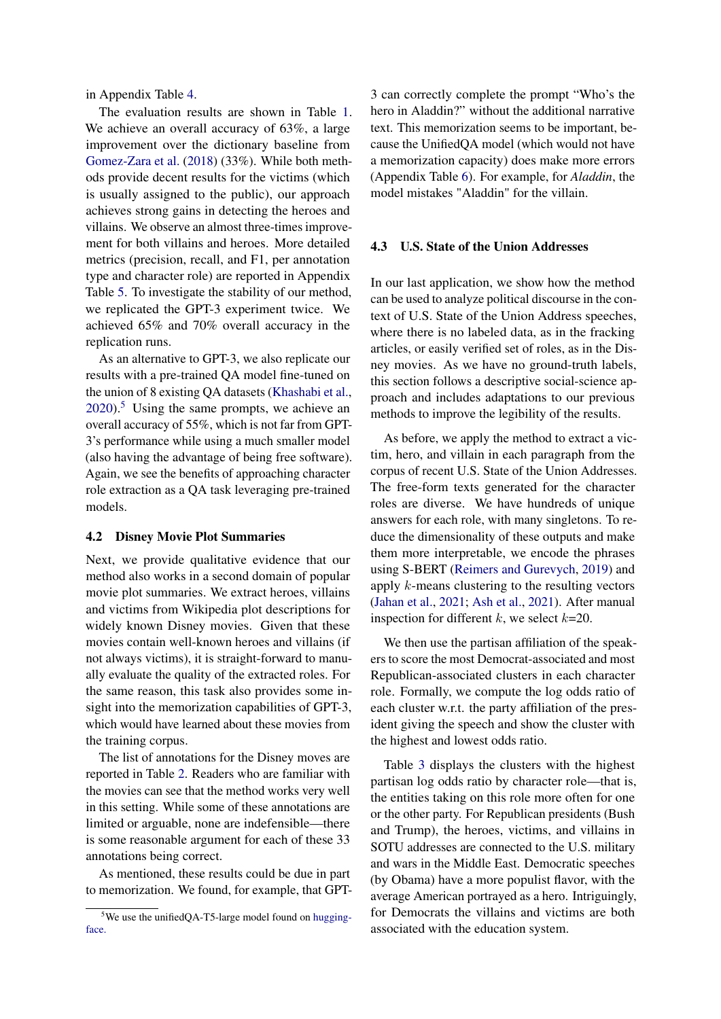in Appendix Table [4.](#page-8-0)

The evaluation results are shown in Table [1.](#page-2-4) We achieve an overall accuracy of 63%, a large improvement over the dictionary baseline from [Gomez-Zara et al.](#page-6-3) [\(2018\)](#page-6-3) (33%). While both methods provide decent results for the victims (which is usually assigned to the public), our approach achieves strong gains in detecting the heroes and villains. We observe an almost three-times improvement for both villains and heroes. More detailed metrics (precision, recall, and F1, per annotation type and character role) are reported in Appendix Table [5.](#page-9-0) To investigate the stability of our method, we replicated the GPT-3 experiment twice. We achieved 65% and 70% overall accuracy in the replication runs.

As an alternative to GPT-3, we also replicate our results with a pre-trained QA model fine-tuned on the union of 8 existing QA datasets [\(Khashabi et al.,](#page-6-13)  $2020$ .<sup>[5](#page-3-0)</sup> Using the same prompts, we achieve an overall accuracy of 55%, which is not far from GPT-3's performance while using a much smaller model (also having the advantage of being free software). Again, we see the benefits of approaching character role extraction as a QA task leveraging pre-trained models.

#### 4.2 Disney Movie Plot Summaries

Next, we provide qualitative evidence that our method also works in a second domain of popular movie plot summaries. We extract heroes, villains and victims from Wikipedia plot descriptions for widely known Disney movies. Given that these movies contain well-known heroes and villains (if not always victims), it is straight-forward to manually evaluate the quality of the extracted roles. For the same reason, this task also provides some insight into the memorization capabilities of GPT-3, which would have learned about these movies from the training corpus.

The list of annotations for the Disney moves are reported in Table [2.](#page-4-0) Readers who are familiar with the movies can see that the method works very well in this setting. While some of these annotations are limited or arguable, none are indefensible—there is some reasonable argument for each of these 33 annotations being correct.

As mentioned, these results could be due in part to memorization. We found, for example, that GPT- 3 can correctly complete the prompt "Who's the hero in Aladdin?" without the additional narrative text. This memorization seems to be important, because the UnifiedQA model (which would not have a memorization capacity) does make more errors (Appendix Table [6\)](#page-9-1). For example, for *Aladdin*, the model mistakes "Aladdin" for the villain.

#### 4.3 U.S. State of the Union Addresses

In our last application, we show how the method can be used to analyze political discourse in the context of U.S. State of the Union Address speeches, where there is no labeled data, as in the fracking articles, or easily verified set of roles, as in the Disney movies. As we have no ground-truth labels, this section follows a descriptive social-science approach and includes adaptations to our previous methods to improve the legibility of the results.

As before, we apply the method to extract a victim, hero, and villain in each paragraph from the corpus of recent U.S. State of the Union Addresses. The free-form texts generated for the character roles are diverse. We have hundreds of unique answers for each role, with many singletons. To reduce the dimensionality of these outputs and make them more interpretable, we encode the phrases using S-BERT [\(Reimers and Gurevych,](#page-7-7) [2019\)](#page-7-7) and apply k-means clustering to the resulting vectors [\(Jahan et al.,](#page-6-6) [2021;](#page-6-6) [Ash et al.,](#page-5-5) [2021\)](#page-5-5). After manual inspection for different  $k$ , we select  $k=20$ .

We then use the partisan affiliation of the speakers to score the most Democrat-associated and most Republican-associated clusters in each character role. Formally, we compute the log odds ratio of each cluster w.r.t. the party affiliation of the president giving the speech and show the cluster with the highest and lowest odds ratio.

Table [3](#page-4-1) displays the clusters with the highest partisan log odds ratio by character role—that is, the entities taking on this role more often for one or the other party. For Republican presidents (Bush and Trump), the heroes, victims, and villains in SOTU addresses are connected to the U.S. military and wars in the Middle East. Democratic speeches (by Obama) have a more populist flavor, with the average American portrayed as a hero. Intriguingly, for Democrats the villains and victims are both associated with the education system.

<span id="page-3-0"></span> $5$ We use the unifiedQA-T5-large model found on [hugging](https://huggingface.co/allenai/unifiedqa-t5-large)[face.](https://huggingface.co/allenai/unifiedqa-t5-large)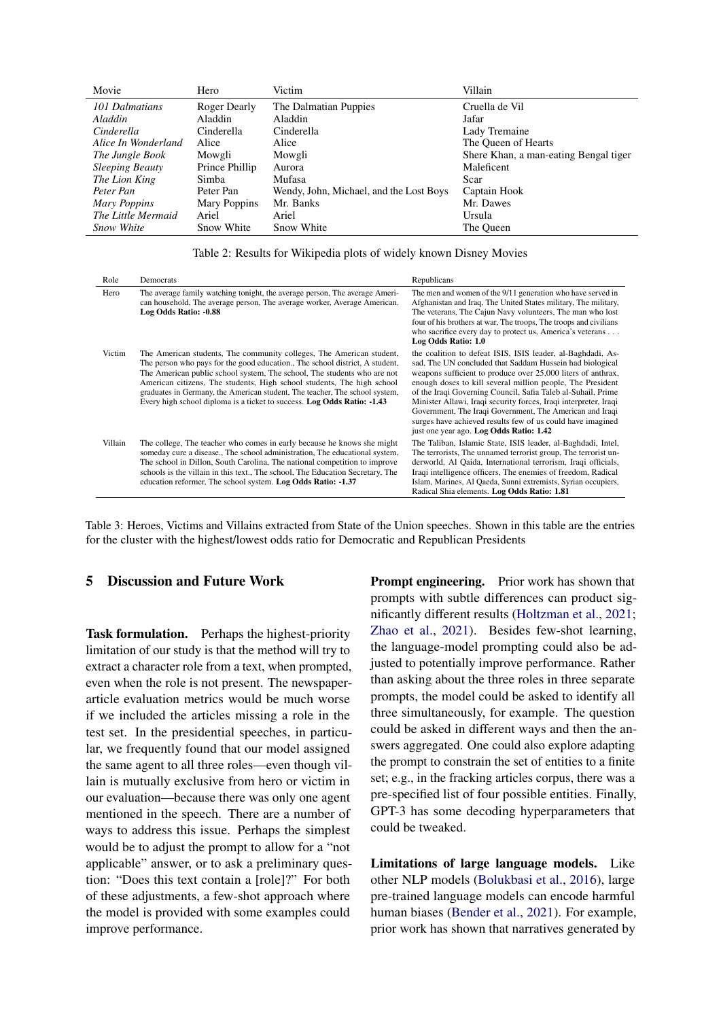<span id="page-4-0"></span>

| Movie                  | Hero           | Victim                                  | Villain                               |
|------------------------|----------------|-----------------------------------------|---------------------------------------|
| 101 Dalmatians         | Roger Dearly   | The Dalmatian Puppies                   | Cruella de Vil                        |
| Aladdin                | Aladdin        | Aladdin                                 | Jafar                                 |
| Cinderella             | Cinderella     | Cinderella                              | Lady Tremaine                         |
| Alice In Wonderland    | Alice          | Alice                                   | The Queen of Hearts                   |
| The Jungle Book        | Mowgli         | Mowgli                                  | Shere Khan, a man-eating Bengal tiger |
| <b>Sleeping Beauty</b> | Prince Phillip | Aurora                                  | Maleficent                            |
| The Lion King          | Simba          | Mufasa                                  | Scar                                  |
| Peter Pan              | Peter Pan      | Wendy, John, Michael, and the Lost Boys | Captain Hook                          |
| Mary Poppins           | Mary Poppins   | Mr. Banks                               | Mr. Dawes                             |
| The Little Mermaid     | Ariel          | Ariel                                   | Ursula                                |
| <b>Snow White</b>      | Snow White     | Snow White                              | The Oueen                             |

<span id="page-4-1"></span>

| Role    | Democrats                                                                                                                                                                                                                                                                                                                                                                                                                                                           | Republicans                                                                                                                                                                                                                                                                                                                                                                                                                                                                                                                                                    |
|---------|---------------------------------------------------------------------------------------------------------------------------------------------------------------------------------------------------------------------------------------------------------------------------------------------------------------------------------------------------------------------------------------------------------------------------------------------------------------------|----------------------------------------------------------------------------------------------------------------------------------------------------------------------------------------------------------------------------------------------------------------------------------------------------------------------------------------------------------------------------------------------------------------------------------------------------------------------------------------------------------------------------------------------------------------|
| Hero    | The average family watching tonight, the average person, The average Ameri-<br>can household, The average person, The average worker, Average American.<br>Log Odds Ratio: -0.88                                                                                                                                                                                                                                                                                    | The men and women of the 9/11 generation who have served in<br>Afghanistan and Iraq, The United States military, The military,<br>The veterans, The Cajun Navy volunteers, The man who lost<br>four of his brothers at war, The troops, The troops and civilians<br>who sacrifice every day to protect us, America's veterans<br>Log Odds Ratio: 1.0                                                                                                                                                                                                           |
| Victim  | The American students, The community colleges, The American student,<br>The person who pays for the good education., The school district, A student,<br>The American public school system, The school, The students who are not<br>American citizens, The students, High school students, The high school<br>graduates in Germany, the American student, The teacher, The school system,<br>Every high school diploma is a ticket to success. Log Odds Ratio: -1.43 | the coalition to defeat ISIS, ISIS leader, al-Baghdadi, As-<br>sad, The UN concluded that Saddam Hussein had biological<br>weapons sufficient to produce over 25,000 liters of anthrax,<br>enough doses to kill several million people, The President<br>of the Iraqi Governing Council, Safia Taleb al-Suhail, Prime<br>Minister Allawi, Iraqi security forces, Iraqi interpreter, Iraqi<br>Government, The Iraqi Government, The American and Iraqi<br>surges have achieved results few of us could have imagined<br>just one year ago. Log Odds Ratio: 1.42 |
| Villain | The college, The teacher who comes in early because he knows she might<br>someday cure a disease., The school administration, The educational system,<br>The school in Dillon, South Carolina, The national competition to improve<br>schools is the villain in this text., The school, The Education Secretary, The<br>education reformer, The school system. Log Odds Ratio: -1.37                                                                                | The Taliban, Islamic State, ISIS leader, al-Baghdadi, Intel,<br>The terrorists, The unnamed terrorist group, The terrorist un-<br>derworld, Al Qaida, International terrorism, Iraqi officials,<br>Iraqi intelligence officers, The enemies of freedom, Radical<br>Islam, Marines, Al Qaeda, Sunni extremists, Syrian occupiers,<br>Radical Shia elements. Log Odds Ratio: 1.81                                                                                                                                                                                |

Table 3: Heroes, Victims and Villains extracted from State of the Union speeches. Shown in this table are the entries for the cluster with the highest/lowest odds ratio for Democratic and Republican Presidents

# 5 Discussion and Future Work

Task formulation. Perhaps the highest-priority limitation of our study is that the method will try to extract a character role from a text, when prompted, even when the role is not present. The newspaperarticle evaluation metrics would be much worse if we included the articles missing a role in the test set. In the presidential speeches, in particular, we frequently found that our model assigned the same agent to all three roles—even though villain is mutually exclusive from hero or victim in our evaluation—because there was only one agent mentioned in the speech. There are a number of ways to address this issue. Perhaps the simplest would be to adjust the prompt to allow for a "not applicable" answer, or to ask a preliminary question: "Does this text contain a [role]?" For both of these adjustments, a few-shot approach where the model is provided with some examples could improve performance.

Prompt engineering. Prior work has shown that prompts with subtle differences can product significantly different results [\(Holtzman et al.,](#page-6-14) [2021;](#page-6-14) [Zhao et al.,](#page-7-8) [2021\)](#page-7-8). Besides few-shot learning, the language-model prompting could also be adjusted to potentially improve performance. Rather than asking about the three roles in three separate prompts, the model could be asked to identify all three simultaneously, for example. The question could be asked in different ways and then the answers aggregated. One could also explore adapting the prompt to constrain the set of entities to a finite set; e.g., in the fracking articles corpus, there was a pre-specified list of four possible entities. Finally, GPT-3 has some decoding hyperparameters that could be tweaked.

Limitations of large language models. Like other NLP models [\(Bolukbasi et al.,](#page-6-11) [2016\)](#page-6-11), large pre-trained language models can encode harmful human biases [\(Bender et al.,](#page-5-6) [2021\)](#page-5-6). For example, prior work has shown that narratives generated by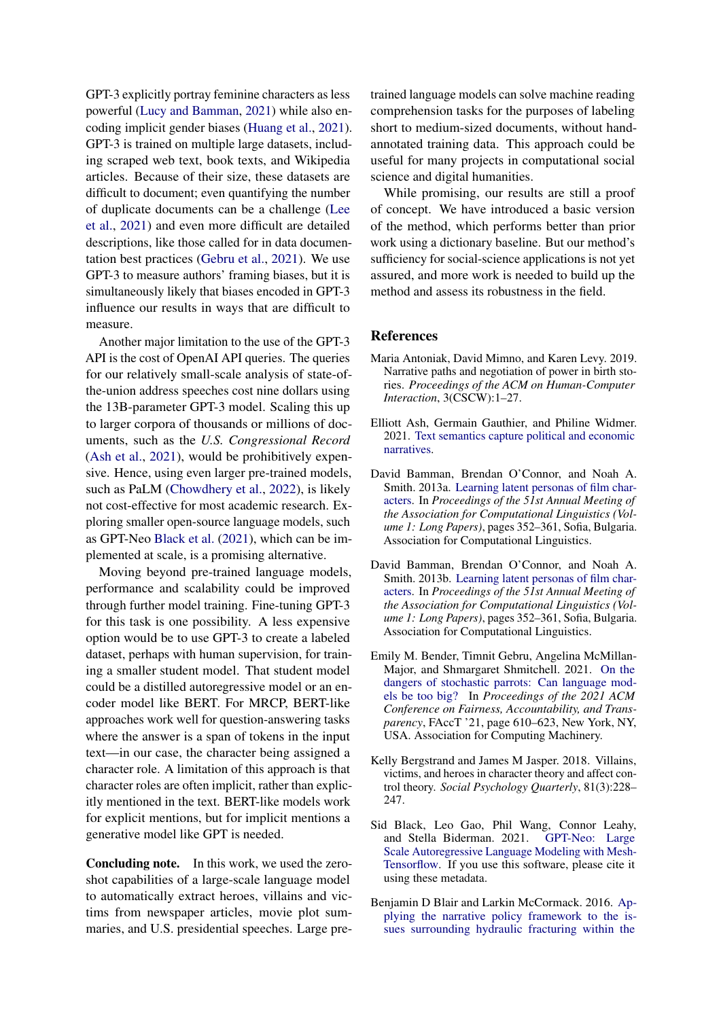GPT-3 explicitly portray feminine characters as less powerful [\(Lucy and Bamman,](#page-7-9) [2021\)](#page-7-9) while also encoding implicit gender biases [\(Huang et al.,](#page-6-15) [2021\)](#page-6-15). GPT-3 is trained on multiple large datasets, including scraped web text, book texts, and Wikipedia articles. Because of their size, these datasets are difficult to document; even quantifying the number of duplicate documents can be a challenge [\(Lee](#page-7-10) [et al.,](#page-7-10) [2021\)](#page-7-10) and even more difficult are detailed descriptions, like those called for in data documentation best practices [\(Gebru et al.,](#page-6-16) [2021\)](#page-6-16). We use GPT-3 to measure authors' framing biases, but it is simultaneously likely that biases encoded in GPT-3 influence our results in ways that are difficult to measure.

Another major limitation to the use of the GPT-3 API is the cost of OpenAI API queries. The queries for our relatively small-scale analysis of state-ofthe-union address speeches cost nine dollars using the 13B-parameter GPT-3 model. Scaling this up to larger corpora of thousands or millions of documents, such as the *U.S. Congressional Record* [\(Ash et al.,](#page-5-5) [2021\)](#page-5-5), would be prohibitively expensive. Hence, using even larger pre-trained models, such as PaLM [\(Chowdhery et al.,](#page-6-17) [2022\)](#page-6-17), is likely not cost-effective for most academic research. Exploring smaller open-source language models, such as GPT-Neo [Black et al.](#page-5-7) [\(2021\)](#page-5-7), which can be implemented at scale, is a promising alternative.

Moving beyond pre-trained language models, performance and scalability could be improved through further model training. Fine-tuning GPT-3 for this task is one possibility. A less expensive option would be to use GPT-3 to create a labeled dataset, perhaps with human supervision, for training a smaller student model. That student model could be a distilled autoregressive model or an encoder model like BERT. For MRCP, BERT-like approaches work well for question-answering tasks where the answer is a span of tokens in the input text—in our case, the character being assigned a character role. A limitation of this approach is that character roles are often implicit, rather than explicitly mentioned in the text. BERT-like models work for explicit mentions, but for implicit mentions a generative model like GPT is needed.

Concluding note. In this work, we used the zeroshot capabilities of a large-scale language model to automatically extract heroes, villains and victims from newspaper articles, movie plot summaries, and U.S. presidential speeches. Large pre-

trained language models can solve machine reading comprehension tasks for the purposes of labeling short to medium-sized documents, without handannotated training data. This approach could be useful for many projects in computational social science and digital humanities.

While promising, our results are still a proof of concept. We have introduced a basic version of the method, which performs better than prior work using a dictionary baseline. But our method's sufficiency for social-science applications is not yet assured, and more work is needed to build up the method and assess its robustness in the field.

### References

- <span id="page-5-4"></span>Maria Antoniak, David Mimno, and Karen Levy. 2019. Narrative paths and negotiation of power in birth stories. *Proceedings of the ACM on Human-Computer Interaction*, 3(CSCW):1–27.
- <span id="page-5-5"></span>Elliott Ash, Germain Gauthier, and Philine Widmer. 2021. [Text semantics capture political and economic](https://doi.org/10.48550/ARXIV.2108.01720) [narratives.](https://doi.org/10.48550/ARXIV.2108.01720)
- <span id="page-5-1"></span>David Bamman, Brendan O'Connor, and Noah A. Smith. 2013a. [Learning latent personas of film char](https://aclanthology.org/P13-1035)[acters.](https://aclanthology.org/P13-1035) In *Proceedings of the 51st Annual Meeting of the Association for Computational Linguistics (Volume 1: Long Papers)*, pages 352–361, Sofia, Bulgaria. Association for Computational Linguistics.
- <span id="page-5-3"></span>David Bamman, Brendan O'Connor, and Noah A. Smith. 2013b. [Learning latent personas of film char](https://aclanthology.org/P13-1035)[acters.](https://aclanthology.org/P13-1035) In *Proceedings of the 51st Annual Meeting of the Association for Computational Linguistics (Volume 1: Long Papers)*, pages 352–361, Sofia, Bulgaria. Association for Computational Linguistics.
- <span id="page-5-6"></span>Emily M. Bender, Timnit Gebru, Angelina McMillan-Major, and Shmargaret Shmitchell. 2021. [On the](https://doi.org/10.1145/3442188.3445922) [dangers of stochastic parrots: Can language mod](https://doi.org/10.1145/3442188.3445922)[els be too big?](https://doi.org/10.1145/3442188.3445922) In *Proceedings of the 2021 ACM Conference on Fairness, Accountability, and Transparency*, FAccT '21, page 610–623, New York, NY, USA. Association for Computing Machinery.
- <span id="page-5-0"></span>Kelly Bergstrand and James M Jasper. 2018. Villains, victims, and heroes in character theory and affect control theory. *Social Psychology Quarterly*, 81(3):228– 247.
- <span id="page-5-7"></span>Sid Black, Leo Gao, Phil Wang, Connor Leahy, and Stella Biderman. 2021. [GPT-Neo: Large](https://doi.org/10.5281/zenodo.5297715) [Scale Autoregressive Language Modeling with Mesh-](https://doi.org/10.5281/zenodo.5297715)[Tensorflow.](https://doi.org/10.5281/zenodo.5297715) If you use this software, please cite it using these metadata.
- <span id="page-5-2"></span>Benjamin D Blair and Larkin McCormack. 2016. [Ap](https://doi.org/10.1177/2053168016628334)[plying the narrative policy framework to the is](https://doi.org/10.1177/2053168016628334)[sues surrounding hydraulic fracturing within the](https://doi.org/10.1177/2053168016628334)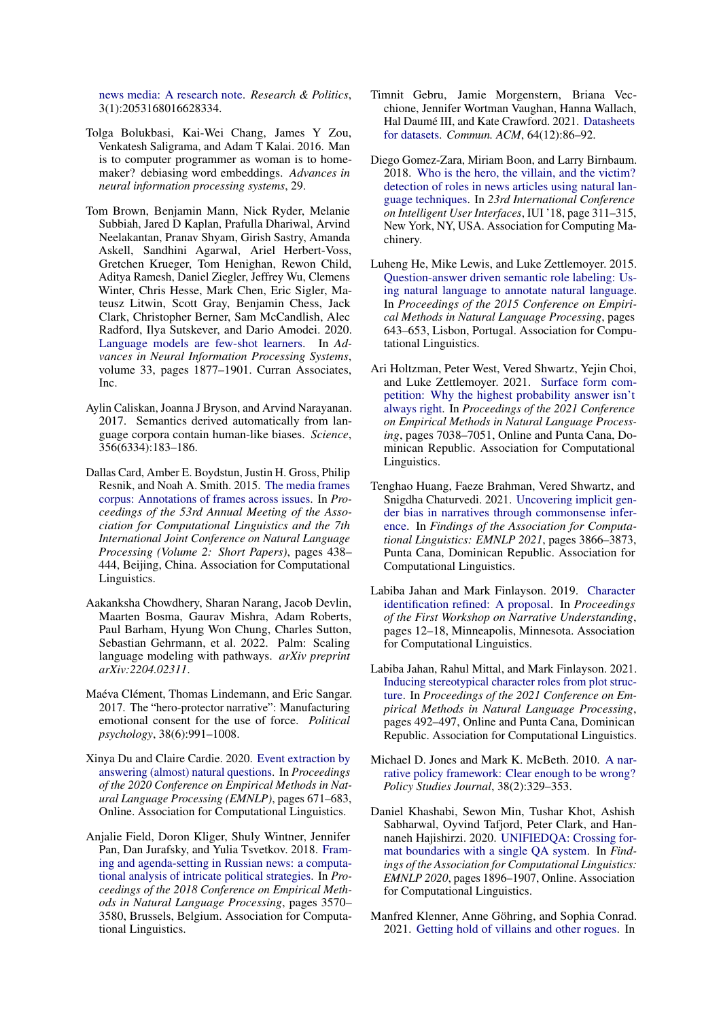[news media: A research note.](https://doi.org/10.1177/2053168016628334) *Research & Politics*, 3(1):2053168016628334.

- <span id="page-6-11"></span>Tolga Bolukbasi, Kai-Wei Chang, James Y Zou, Venkatesh Saligrama, and Adam T Kalai. 2016. Man is to computer programmer as woman is to homemaker? debiasing word embeddings. *Advances in neural information processing systems*, 29.
- <span id="page-6-4"></span>Tom Brown, Benjamin Mann, Nick Ryder, Melanie Subbiah, Jared D Kaplan, Prafulla Dhariwal, Arvind Neelakantan, Pranav Shyam, Girish Sastry, Amanda Askell, Sandhini Agarwal, Ariel Herbert-Voss, Gretchen Krueger, Tom Henighan, Rewon Child, Aditya Ramesh, Daniel Ziegler, Jeffrey Wu, Clemens Winter, Chris Hesse, Mark Chen, Eric Sigler, Mateusz Litwin, Scott Gray, Benjamin Chess, Jack Clark, Christopher Berner, Sam McCandlish, Alec Radford, Ilya Sutskever, and Dario Amodei. 2020. [Language models are few-shot learners.](https://proceedings.neurips.cc/paper/2020/file/1457c0d6bfcb4967418bfb8ac142f64a-Paper.pdf) In *Advances in Neural Information Processing Systems*, volume 33, pages 1877–1901. Curran Associates, Inc.
- <span id="page-6-12"></span>Aylin Caliskan, Joanna J Bryson, and Arvind Narayanan. 2017. Semantics derived automatically from language corpora contain human-like biases. *Science*, 356(6334):183–186.
- <span id="page-6-9"></span>Dallas Card, Amber E. Boydstun, Justin H. Gross, Philip Resnik, and Noah A. Smith. 2015. [The media frames](https://doi.org/10.3115/v1/P15-2072) [corpus: Annotations of frames across issues.](https://doi.org/10.3115/v1/P15-2072) In *Proceedings of the 53rd Annual Meeting of the Association for Computational Linguistics and the 7th International Joint Conference on Natural Language Processing (Volume 2: Short Papers)*, pages 438– 444, Beijing, China. Association for Computational Linguistics.
- <span id="page-6-17"></span>Aakanksha Chowdhery, Sharan Narang, Jacob Devlin, Maarten Bosma, Gaurav Mishra, Adam Roberts, Paul Barham, Hyung Won Chung, Charles Sutton, Sebastian Gehrmann, et al. 2022. Palm: Scaling language modeling with pathways. *arXiv preprint arXiv:2204.02311*.
- <span id="page-6-1"></span>Maéva Clément, Thomas Lindemann, and Eric Sangar. 2017. The "hero-protector narrative": Manufacturing emotional consent for the use of force. *Political psychology*, 38(6):991–1008.
- <span id="page-6-8"></span>Xinya Du and Claire Cardie. 2020. [Event extraction by](https://doi.org/10.18653/v1/2020.emnlp-main.49) [answering \(almost\) natural questions.](https://doi.org/10.18653/v1/2020.emnlp-main.49) In *Proceedings of the 2020 Conference on Empirical Methods in Natural Language Processing (EMNLP)*, pages 671–683, Online. Association for Computational Linguistics.
- <span id="page-6-10"></span>Anjalie Field, Doron Kliger, Shuly Wintner, Jennifer Pan, Dan Jurafsky, and Yulia Tsvetkov. 2018. [Fram](https://doi.org/10.18653/v1/D18-1393)[ing and agenda-setting in Russian news: a computa](https://doi.org/10.18653/v1/D18-1393)[tional analysis of intricate political strategies.](https://doi.org/10.18653/v1/D18-1393) In *Proceedings of the 2018 Conference on Empirical Methods in Natural Language Processing*, pages 3570– 3580, Brussels, Belgium. Association for Computational Linguistics.
- <span id="page-6-16"></span>Timnit Gebru, Jamie Morgenstern, Briana Vecchione, Jennifer Wortman Vaughan, Hanna Wallach, Hal Daumé III, and Kate Crawford. 2021. [Datasheets](https://doi.org/10.1145/3458723) [for datasets.](https://doi.org/10.1145/3458723) *Commun. ACM*, 64(12):86–92.
- <span id="page-6-3"></span>Diego Gomez-Zara, Miriam Boon, and Larry Birnbaum. 2018. [Who is the hero, the villain, and the victim?](https://doi.org/10.1145/3172944.3172993) [detection of roles in news articles using natural lan](https://doi.org/10.1145/3172944.3172993)[guage techniques.](https://doi.org/10.1145/3172944.3172993) In *23rd International Conference on Intelligent User Interfaces*, IUI '18, page 311–315, New York, NY, USA. Association for Computing Machinery.
- <span id="page-6-7"></span>Luheng He, Mike Lewis, and Luke Zettlemoyer. 2015. [Question-answer driven semantic role labeling: Us](https://doi.org/10.18653/v1/D15-1076)[ing natural language to annotate natural language.](https://doi.org/10.18653/v1/D15-1076) In *Proceedings of the 2015 Conference on Empirical Methods in Natural Language Processing*, pages 643–653, Lisbon, Portugal. Association for Computational Linguistics.
- <span id="page-6-14"></span>Ari Holtzman, Peter West, Vered Shwartz, Yejin Choi, and Luke Zettlemoyer. 2021. [Surface form com](https://doi.org/10.18653/v1/2021.emnlp-main.564)[petition: Why the highest probability answer isn't](https://doi.org/10.18653/v1/2021.emnlp-main.564) [always right.](https://doi.org/10.18653/v1/2021.emnlp-main.564) In *Proceedings of the 2021 Conference on Empirical Methods in Natural Language Processing*, pages 7038–7051, Online and Punta Cana, Dominican Republic. Association for Computational Linguistics.
- <span id="page-6-15"></span>Tenghao Huang, Faeze Brahman, Vered Shwartz, and Snigdha Chaturvedi. 2021. [Uncovering implicit gen](https://doi.org/10.18653/v1/2021.findings-emnlp.326)[der bias in narratives through commonsense infer](https://doi.org/10.18653/v1/2021.findings-emnlp.326)[ence.](https://doi.org/10.18653/v1/2021.findings-emnlp.326) In *Findings of the Association for Computational Linguistics: EMNLP 2021*, pages 3866–3873, Punta Cana, Dominican Republic. Association for Computational Linguistics.
- <span id="page-6-2"></span>Labiba Jahan and Mark Finlayson. 2019. [Character](https://doi.org/10.18653/v1/W19-2402) [identification refined: A proposal.](https://doi.org/10.18653/v1/W19-2402) In *Proceedings of the First Workshop on Narrative Understanding*, pages 12–18, Minneapolis, Minnesota. Association for Computational Linguistics.
- <span id="page-6-6"></span>Labiba Jahan, Rahul Mittal, and Mark Finlayson. 2021. [Inducing stereotypical character roles from plot struc](https://doi.org/10.18653/v1/2021.emnlp-main.39)[ture.](https://doi.org/10.18653/v1/2021.emnlp-main.39) In *Proceedings of the 2021 Conference on Empirical Methods in Natural Language Processing*, pages 492–497, Online and Punta Cana, Dominican Republic. Association for Computational Linguistics.
- <span id="page-6-0"></span>Michael D. Jones and Mark K. McBeth. 2010. [A nar](https://doi.org/https://doi.org/10.1111/j.1541-0072.2010.00364.x)[rative policy framework: Clear enough to be wrong?](https://doi.org/https://doi.org/10.1111/j.1541-0072.2010.00364.x) *Policy Studies Journal*, 38(2):329–353.
- <span id="page-6-13"></span>Daniel Khashabi, Sewon Min, Tushar Khot, Ashish Sabharwal, Oyvind Tafjord, Peter Clark, and Hannaneh Hajishirzi. 2020. [UNIFIEDQA: Crossing for](https://doi.org/10.18653/v1/2020.findings-emnlp.171)[mat boundaries with a single QA system.](https://doi.org/10.18653/v1/2020.findings-emnlp.171) In *Findings of the Association for Computational Linguistics: EMNLP 2020*, pages 1896–1907, Online. Association for Computational Linguistics.
- <span id="page-6-5"></span>Manfred Klenner, Anne Göhring, and Sophia Conrad. 2021. [Getting hold of villains and other rogues.](https://aclanthology.org/2021.nodalida-main.49) In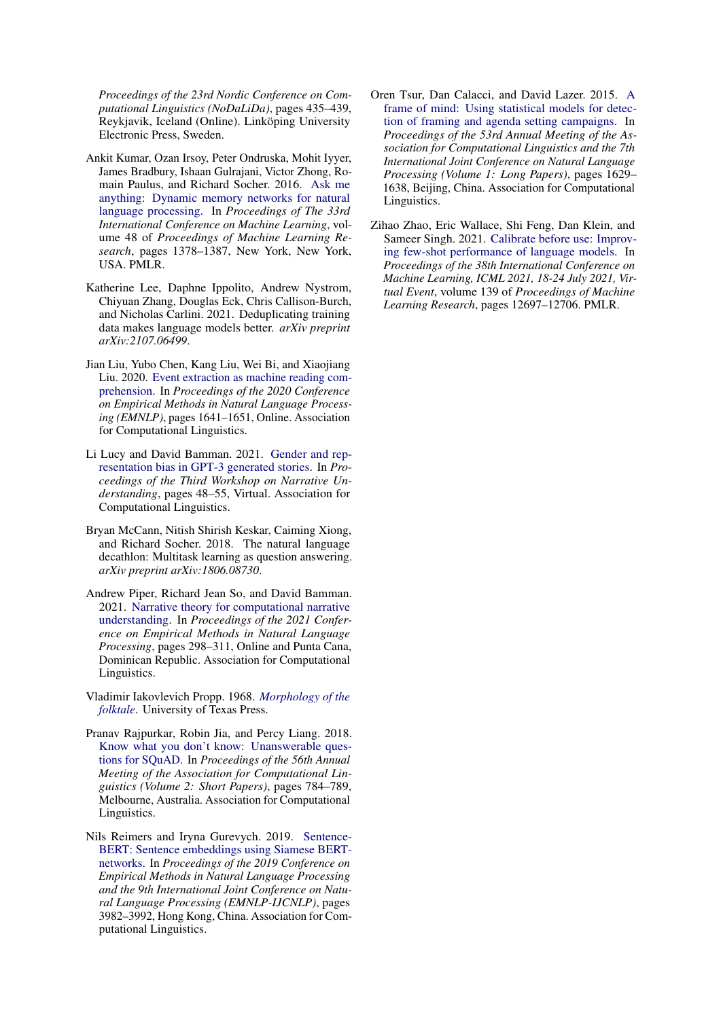*Proceedings of the 23rd Nordic Conference on Computational Linguistics (NoDaLiDa)*, pages 435–439, Reykjavik, Iceland (Online). Linköping University Electronic Press, Sweden.

- <span id="page-7-3"></span>Ankit Kumar, Ozan Irsoy, Peter Ondruska, Mohit Iyyer, James Bradbury, Ishaan Gulrajani, Victor Zhong, Romain Paulus, and Richard Socher. 2016. [Ask me](https://proceedings.mlr.press/v48/kumar16.html) [anything: Dynamic memory networks for natural](https://proceedings.mlr.press/v48/kumar16.html) [language processing.](https://proceedings.mlr.press/v48/kumar16.html) In *Proceedings of The 33rd International Conference on Machine Learning*, volume 48 of *Proceedings of Machine Learning Research*, pages 1378–1387, New York, New York, USA. PMLR.
- <span id="page-7-10"></span>Katherine Lee, Daphne Ippolito, Andrew Nystrom, Chiyuan Zhang, Douglas Eck, Chris Callison-Burch, and Nicholas Carlini. 2021. Deduplicating training data makes language models better. *arXiv preprint arXiv:2107.06499*.
- <span id="page-7-2"></span>Jian Liu, Yubo Chen, Kang Liu, Wei Bi, and Xiaojiang Liu. 2020. [Event extraction as machine reading com](https://doi.org/10.18653/v1/2020.emnlp-main.128)[prehension.](https://doi.org/10.18653/v1/2020.emnlp-main.128) In *Proceedings of the 2020 Conference on Empirical Methods in Natural Language Processing (EMNLP)*, pages 1641–1651, Online. Association for Computational Linguistics.
- <span id="page-7-9"></span>Li Lucy and David Bamman. 2021. [Gender and rep](https://doi.org/10.18653/v1/2021.nuse-1.5)[resentation bias in GPT-3 generated stories.](https://doi.org/10.18653/v1/2021.nuse-1.5) In *Proceedings of the Third Workshop on Narrative Understanding*, pages 48–55, Virtual. Association for Computational Linguistics.
- <span id="page-7-4"></span>Bryan McCann, Nitish Shirish Keskar, Caiming Xiong, and Richard Socher. 2018. The natural language decathlon: Multitask learning as question answering. *arXiv preprint arXiv:1806.08730*.
- <span id="page-7-1"></span>Andrew Piper, Richard Jean So, and David Bamman. 2021. [Narrative theory for computational narrative](https://doi.org/10.18653/v1/2021.emnlp-main.26) [understanding.](https://doi.org/10.18653/v1/2021.emnlp-main.26) In *Proceedings of the 2021 Conference on Empirical Methods in Natural Language Processing*, pages 298–311, Online and Punta Cana, Dominican Republic. Association for Computational Linguistics.
- <span id="page-7-0"></span>Vladimir Iakovlevich Propp. 1968. *[Morphology of the](http://books.google.com/books?isbn=0292783760) [folktale](http://books.google.com/books?isbn=0292783760)*. University of Texas Press.
- <span id="page-7-6"></span>Pranav Rajpurkar, Robin Jia, and Percy Liang. 2018. [Know what you don't know: Unanswerable ques](https://doi.org/10.18653/v1/P18-2124)[tions for SQuAD.](https://doi.org/10.18653/v1/P18-2124) In *Proceedings of the 56th Annual Meeting of the Association for Computational Linguistics (Volume 2: Short Papers)*, pages 784–789, Melbourne, Australia. Association for Computational Linguistics.
- <span id="page-7-7"></span>Nils Reimers and Iryna Gurevych. 2019. [Sentence-](https://doi.org/10.18653/v1/D19-1410)[BERT: Sentence embeddings using Siamese BERT](https://doi.org/10.18653/v1/D19-1410)[networks.](https://doi.org/10.18653/v1/D19-1410) In *Proceedings of the 2019 Conference on Empirical Methods in Natural Language Processing and the 9th International Joint Conference on Natural Language Processing (EMNLP-IJCNLP)*, pages 3982–3992, Hong Kong, China. Association for Computational Linguistics.
- <span id="page-7-5"></span>Oren Tsur, Dan Calacci, and David Lazer. 2015. [A](https://doi.org/10.3115/v1/P15-1157) [frame of mind: Using statistical models for detec](https://doi.org/10.3115/v1/P15-1157)[tion of framing and agenda setting campaigns.](https://doi.org/10.3115/v1/P15-1157) In *Proceedings of the 53rd Annual Meeting of the Association for Computational Linguistics and the 7th International Joint Conference on Natural Language Processing (Volume 1: Long Papers)*, pages 1629– 1638, Beijing, China. Association for Computational Linguistics.
- <span id="page-7-8"></span>Zihao Zhao, Eric Wallace, Shi Feng, Dan Klein, and Sameer Singh. 2021. [Calibrate before use: Improv](http://proceedings.mlr.press/v139/zhao21c.html)[ing few-shot performance of language models.](http://proceedings.mlr.press/v139/zhao21c.html) In *Proceedings of the 38th International Conference on Machine Learning, ICML 2021, 18-24 July 2021, Virtual Event*, volume 139 of *Proceedings of Machine Learning Research*, pages 12697–12706. PMLR.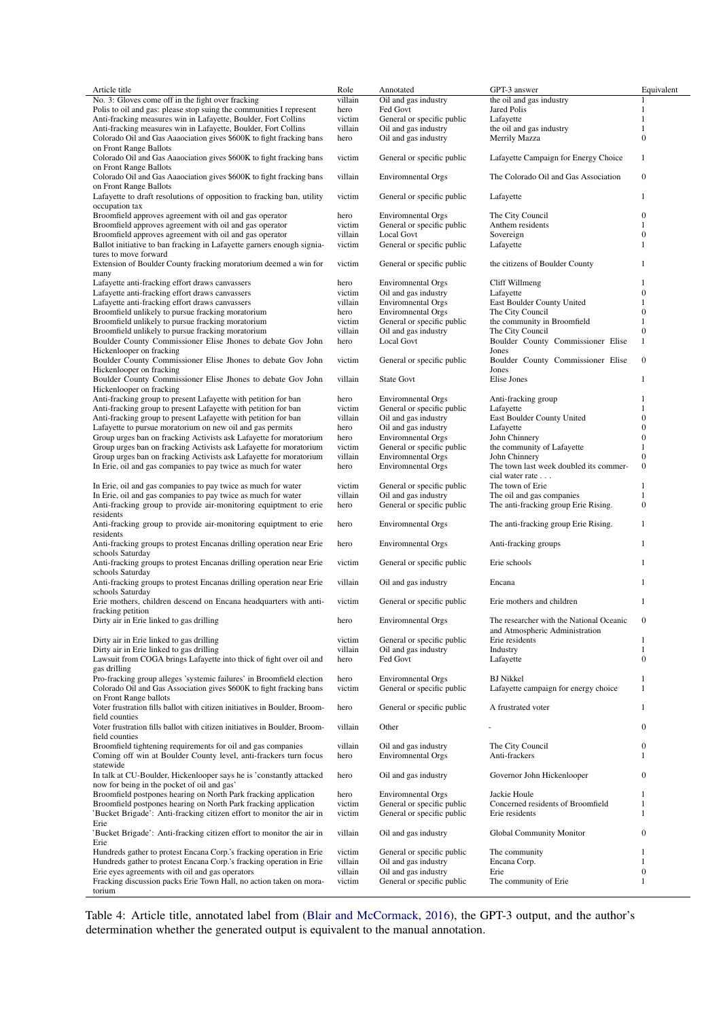<span id="page-8-0"></span>

| Article title                                                                                                                    | Role            | Annotated                                         | GPT-3 answer                                                               | Equivalent            |
|----------------------------------------------------------------------------------------------------------------------------------|-----------------|---------------------------------------------------|----------------------------------------------------------------------------|-----------------------|
| No. 3: Gloves come off in the fight over fracking                                                                                | villain         | Oil and gas industry                              | the oil and gas industry                                                   | 1                     |
| Polis to oil and gas: please stop suing the communities I represent                                                              | hero            | Fed Govt                                          | <b>Jared Polis</b>                                                         | 1                     |
| Anti-fracking measures win in Lafayette, Boulder, Fort Collins                                                                   | victim          | General or specific public                        | Lafayette                                                                  | 1                     |
| Anti-fracking measures win in Lafayette, Boulder, Fort Collins                                                                   | villain         | Oil and gas industry                              | the oil and gas industry                                                   | 1                     |
| Colorado Oil and Gas Aaaociation gives \$600K to fight fracking bans                                                             | hero            | Oil and gas industry                              | Merrily Mazza                                                              | $\boldsymbol{0}$      |
| on Front Range Ballots                                                                                                           |                 |                                                   |                                                                            |                       |
| Colorado Oil and Gas Aaaociation gives \$600K to fight fracking bans                                                             | victim          | General or specific public                        | Lafayette Campaign for Energy Choice                                       | $\mathbf{1}$          |
| on Front Range Ballots<br>Colorado Oil and Gas Aaaociation gives \$600K to fight fracking bans                                   | villain         | <b>Enviromnental Orgs</b>                         | The Colorado Oil and Gas Association                                       | $\boldsymbol{0}$      |
| on Front Range Ballots<br>Lafayette to draft resolutions of opposition to fracking ban, utility                                  | victim          | General or specific public                        | Lafayette                                                                  | 1                     |
| occupation tax                                                                                                                   | hero            |                                                   |                                                                            | $\boldsymbol{0}$      |
| Broomfield approves agreement with oil and gas operator<br>Broomfield approves agreement with oil and gas operator               |                 | <b>Enviromnental Orgs</b>                         | The City Council                                                           | $\mathbf{1}$          |
|                                                                                                                                  | victim          | General or specific public                        | Anthem residents                                                           |                       |
| Broomfield approves agreement with oil and gas operator                                                                          | villain         | <b>Local Govt</b>                                 | Sovereign                                                                  | $\boldsymbol{0}$<br>1 |
| Ballot initiative to ban fracking in Lafayette garners enough signia-<br>tures to move forward                                   | victim          | General or specific public                        | Lafayette                                                                  |                       |
| Extension of Boulder County fracking moratorium deemed a win for                                                                 | victim          | General or specific public                        | the citizens of Boulder County                                             | $\mathbf{1}$          |
| many<br>Lafayette anti-fracking effort draws canvassers                                                                          | hero            | <b>Enviromnental Orgs</b>                         | Cliff Willmeng                                                             | 1                     |
| Lafayette anti-fracking effort draws canvassers                                                                                  | victim          | Oil and gas industry                              | Lafayette                                                                  | $\boldsymbol{0}$      |
| Lafayette anti-fracking effort draws canvassers                                                                                  | villain         | <b>Environmental Orgs</b>                         | East Boulder County United                                                 | 1                     |
| Broomfield unlikely to pursue fracking moratorium                                                                                | hero            | <b>Environmental Orgs</b>                         | The City Council                                                           | $\mathbf{0}$          |
| Broomfield unlikely to pursue fracking moratorium                                                                                | victim          | General or specific public                        | the community in Broomfield                                                | $\mathbf{1}$          |
| Broomfield unlikely to pursue fracking moratorium                                                                                | villain         | Oil and gas industry                              | The City Council                                                           | $\boldsymbol{0}$      |
| Boulder County Commissioner Elise Jhones to debate Gov John                                                                      | hero            | <b>Local Govt</b>                                 | Boulder County Commissioner Elise                                          | 1                     |
| Hickenlooper on fracking<br>Boulder County Commissioner Elise Jhones to debate Gov John                                          | victim          | General or specific public                        | Jones<br>Boulder County Commissioner Elise                                 | $\boldsymbol{0}$      |
| Hickenlooper on fracking                                                                                                         |                 |                                                   | Jones                                                                      |                       |
| Boulder County Commissioner Elise Jhones to debate Gov John<br>Hickenlooper on fracking                                          | villain         | <b>State Govt</b>                                 | Elise Jones                                                                | 1                     |
| Anti-fracking group to present Lafayette with petition for ban                                                                   | hero            | <b>Environmental Orgs</b>                         | Anti-fracking group                                                        | 1                     |
| Anti-fracking group to present Lafayette with petition for ban                                                                   | victim          | General or specific public                        | Lafayette                                                                  | 1                     |
| Anti-fracking group to present Lafayette with petition for ban                                                                   | villain         | Oil and gas industry                              | East Boulder County United                                                 | $\boldsymbol{0}$      |
| Lafayette to pursue moratorium on new oil and gas permits                                                                        | hero            | Oil and gas industry                              | Lafayette                                                                  | $\mathbf{0}$          |
| Group urges ban on fracking Activists ask Lafayette for moratorium                                                               | hero            | <b>Environmental Orgs</b>                         | John Chinnery                                                              | $\boldsymbol{0}$      |
|                                                                                                                                  |                 |                                                   |                                                                            | $\mathbf{1}$          |
| Group urges ban on fracking Activists ask Lafayette for moratorium                                                               | victim          | General or specific public                        | the community of Lafayette                                                 | $\boldsymbol{0}$      |
| Group urges ban on fracking Activists ask Lafayette for moratorium                                                               | villain         | <b>Environmental Orgs</b>                         | John Chinnery                                                              |                       |
| In Erie, oil and gas companies to pay twice as much for water                                                                    | hero            | <b>Environmental Orgs</b>                         | The town last week doubled its commer-<br>cial water rate                  | $\boldsymbol{0}$      |
| In Erie, oil and gas companies to pay twice as much for water                                                                    | victim          | General or specific public                        | The town of Erie                                                           | $\mathbf{1}$          |
| In Erie, oil and gas companies to pay twice as much for water                                                                    | villain         | Oil and gas industry                              | The oil and gas companies                                                  | $\mathbf{1}$          |
| Anti-fracking group to provide air-monitoring equiptment to erie<br>residents                                                    | hero            | General or specific public                        | The anti-fracking group Erie Rising.                                       | $\boldsymbol{0}$      |
| Anti-fracking group to provide air-monitoring equiptment to erie<br>residents                                                    | hero            | <b>Environmental Orgs</b>                         | The anti-fracking group Erie Rising.                                       | $\mathbf{1}$          |
| Anti-fracking groups to protest Encanas drilling operation near Erie                                                             | hero            | <b>Enviromnental Orgs</b>                         | Anti-fracking groups                                                       | $\mathbf{1}$          |
| schools Saturday<br>Anti-fracking groups to protest Encanas drilling operation near Erie                                         | victim          | General or specific public                        | Erie schools                                                               | 1                     |
| schools Saturday<br>Anti-fracking groups to protest Encanas drilling operation near Erie                                         | villain         | Oil and gas industry                              | Encana                                                                     | 1                     |
| schools Saturday<br>Erie mothers, children descend on Encana headquarters with anti-                                             | victim          | General or specific public                        | Erie mothers and children                                                  | $\mathbf{1}$          |
| fracking petition                                                                                                                |                 |                                                   |                                                                            | $\mathbf{0}$          |
| Dirty air in Erie linked to gas drilling                                                                                         | hero            | <b>Environmental Orgs</b>                         | The researcher with the National Oceanic<br>and Atmospheric Administration |                       |
| Dirty air in Erie linked to gas drilling                                                                                         | victim          | General or specific public                        | Erie residents                                                             | 1                     |
| Dirty air in Erie linked to gas drilling                                                                                         | villain         | Oil and gas industry                              | Industry                                                                   | 1                     |
| Lawsuit from COGA brings Lafayette into thick of fight over oil and                                                              | hero            | Fed Govt                                          | Lafayette                                                                  | $\boldsymbol{0}$      |
| gas drilling<br>Pro-fracking group alleges 'systemic failures' in Broomfield election                                            | hero            | <b>Environmental Orgs</b>                         | <b>BJ</b> Nikkel                                                           | $\mathbf{1}$          |
| Colorado Oil and Gas Association gives \$600K to fight fracking bans                                                             | victim          | General or specific public                        | Lafayette campaign for energy choice                                       | 1                     |
| on Front Range ballots<br>Voter frustration fills ballot with citizen initiatives in Boulder, Broom-                             | hero            | General or specific public                        | A frustrated voter                                                         | 1                     |
| field counties<br>Voter frustration fills ballot with citizen initiatives in Boulder, Broom-                                     | villain         | Other                                             |                                                                            | $\boldsymbol{0}$      |
| field counties                                                                                                                   |                 |                                                   |                                                                            |                       |
| Broomfield tightening requirements for oil and gas companies<br>Coming off win at Boulder County level, anti-frackers turn focus | villain<br>hero | Oil and gas industry<br><b>Enviromnental Orgs</b> | The City Council<br>Anti-frackers                                          | $\boldsymbol{0}$<br>1 |
| statewide<br>In talk at CU-Boulder, Hickenlooper says he is 'constantly attacked                                                 | hero            | Oil and gas industry                              | Governor John Hickenlooper                                                 | $\boldsymbol{0}$      |
| now for being in the pocket of oil and gas'                                                                                      |                 |                                                   |                                                                            |                       |
| Broomfield postpones hearing on North Park fracking application                                                                  | hero            | <b>Environmental Orgs</b>                         | Jackie Houle                                                               | $\mathbf{1}$          |
| Broomfield postpones hearing on North Park fracking application                                                                  | victim          | General or specific public                        | Concerned residents of Broomfield                                          | 1                     |
| 'Bucket Brigade': Anti-fracking citizen effort to monitor the air in                                                             | victim          | General or specific public                        | Erie residents                                                             | 1                     |
| Erie                                                                                                                             |                 |                                                   |                                                                            |                       |
| 'Bucket Brigade': Anti-fracking citizen effort to monitor the air in<br>Erie                                                     | villain         | Oil and gas industry                              | Global Community Monitor                                                   | $\mathbf{0}$          |
| Hundreds gather to protest Encana Corp.'s fracking operation in Erie                                                             | victim          | General or specific public                        | The community                                                              | $\mathbf{1}$          |
| Hundreds gather to protest Encana Corp.'s fracking operation in Erie                                                             | villain         | Oil and gas industry                              | Encana Corp.                                                               | 1                     |
| Erie eyes agreements with oil and gas operators                                                                                  | villain         | Oil and gas industry                              | Erie                                                                       | $\boldsymbol{0}$      |
| Fracking discussion packs Erie Town Hall, no action taken on mora-                                                               | victim          | General or specific public                        | The community of Erie                                                      | $\mathbf{1}$          |
| torium                                                                                                                           |                 |                                                   |                                                                            |                       |

Table 4: Article title, annotated label from [\(Blair and McCormack,](#page-5-2) [2016\)](#page-5-2), the GPT-3 output, and the author's determination whether the generated output is equivalent to the manual annotation.